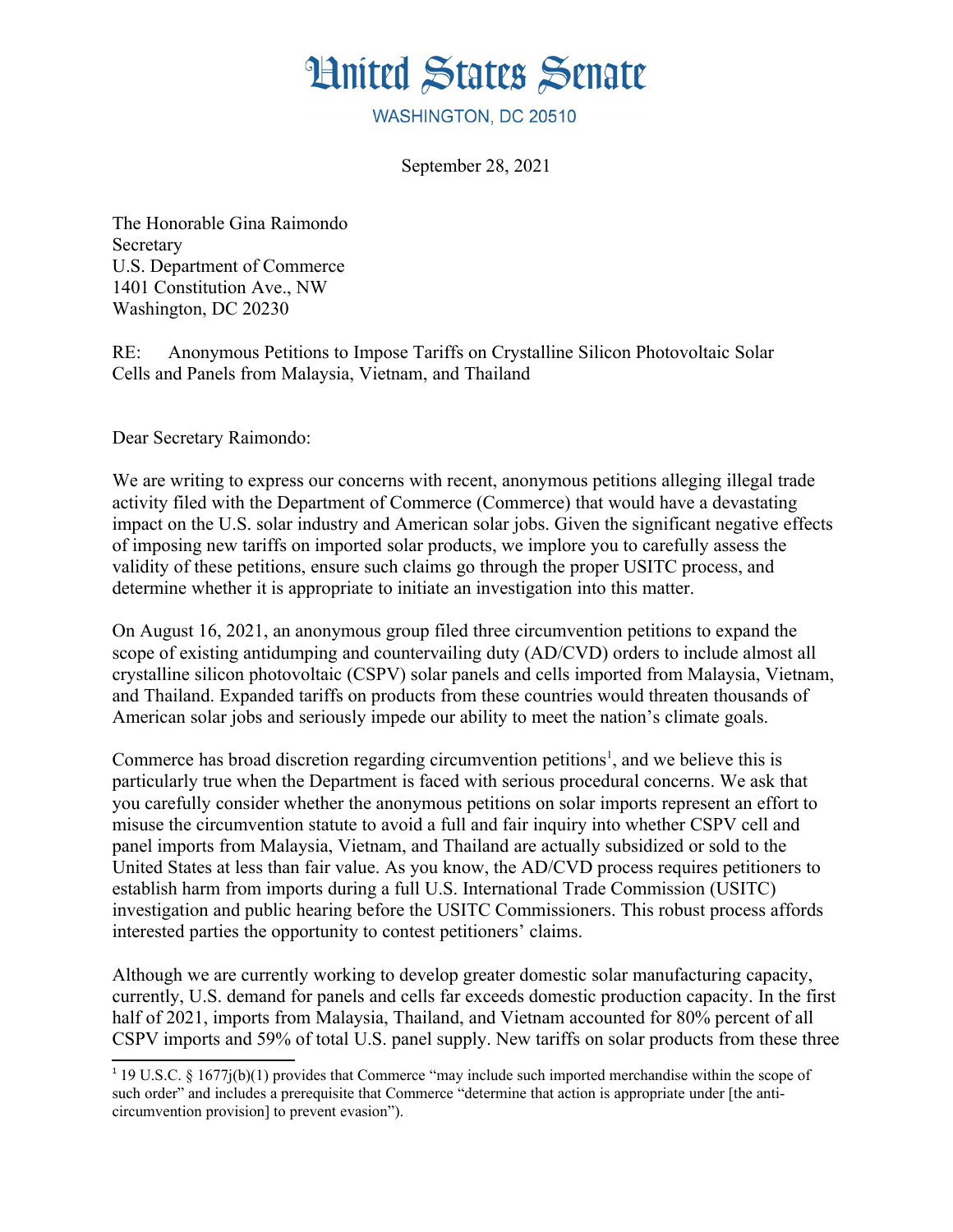

WASHINGTON, DC 20510

September 28, 2021

The Honorable Gina Raimondo Secretary U.S. Department of Commerce 1401 Constitution Ave., NW Washington, DC 20230

RE: Anonymous Petitions to Impose Tariffs on Crystalline Silicon Photovoltaic Solar Cells and Panels from Malaysia, Vietnam, and Thailand

Dear Secretary Raimondo:

We are writing to express our concerns with recent, anonymous petitions alleging illegal trade activity filed with the Department of Commerce (Commerce) that would have a devastating impact on the U.S. solar industry and American solar jobs. Given the significant negative effects of imposing new tariffs on imported solar products, we implore you to carefully assess the validity of these petitions, ensure such claims go through the proper USITC process, and determine whether it is appropriate to initiate an investigation into this matter.

On August 16, 2021, an anonymous group filed three circumvention petitions to expand the scope of existing antidumping and countervailing duty (AD/CVD) orders to include almost all crystalline silicon photovoltaic (CSPV) solar panels and cells imported from Malaysia, Vietnam, and Thailand. Expanded tariffs on products from these countries would threaten thousands of American solar jobs and seriously impede our ability to meet the nation's climate goals.

Commerce has broad discretion regarding circumvention petitions<sup>[1](#page-0-0)</sup>, and we believe this is particularly true when the Department is faced with serious procedural concerns. We ask that you carefully consider whether the anonymous petitions on solar imports represent an effort to misuse the circumvention statute to avoid a full and fair inquiry into whether CSPV cell and panel imports from Malaysia, Vietnam, and Thailand are actually subsidized or sold to the United States at less than fair value. As you know, the AD/CVD process requires petitioners to establish harm from imports during a full U.S. International Trade Commission (USITC) investigation and public hearing before the USITC Commissioners. This robust process affords interested parties the opportunity to contest petitioners' claims.

Although we are currently working to develop greater domestic solar manufacturing capacity, currently, U.S. demand for panels and cells far exceeds domestic production capacity. In the first half of 2021, imports from Malaysia, Thailand, and Vietnam accounted for 80% percent of all CSPV imports and 59% of total U.S. panel supply. New tariffs on solar products from these three

<span id="page-0-0"></span><sup>1</sup> 19 U.S.C. § 1677j(b)(1) provides that Commerce "may include such imported merchandise within the scope of such order" and includes a prerequisite that Commerce "determine that action is appropriate under [the anticircumvention provision] to prevent evasion").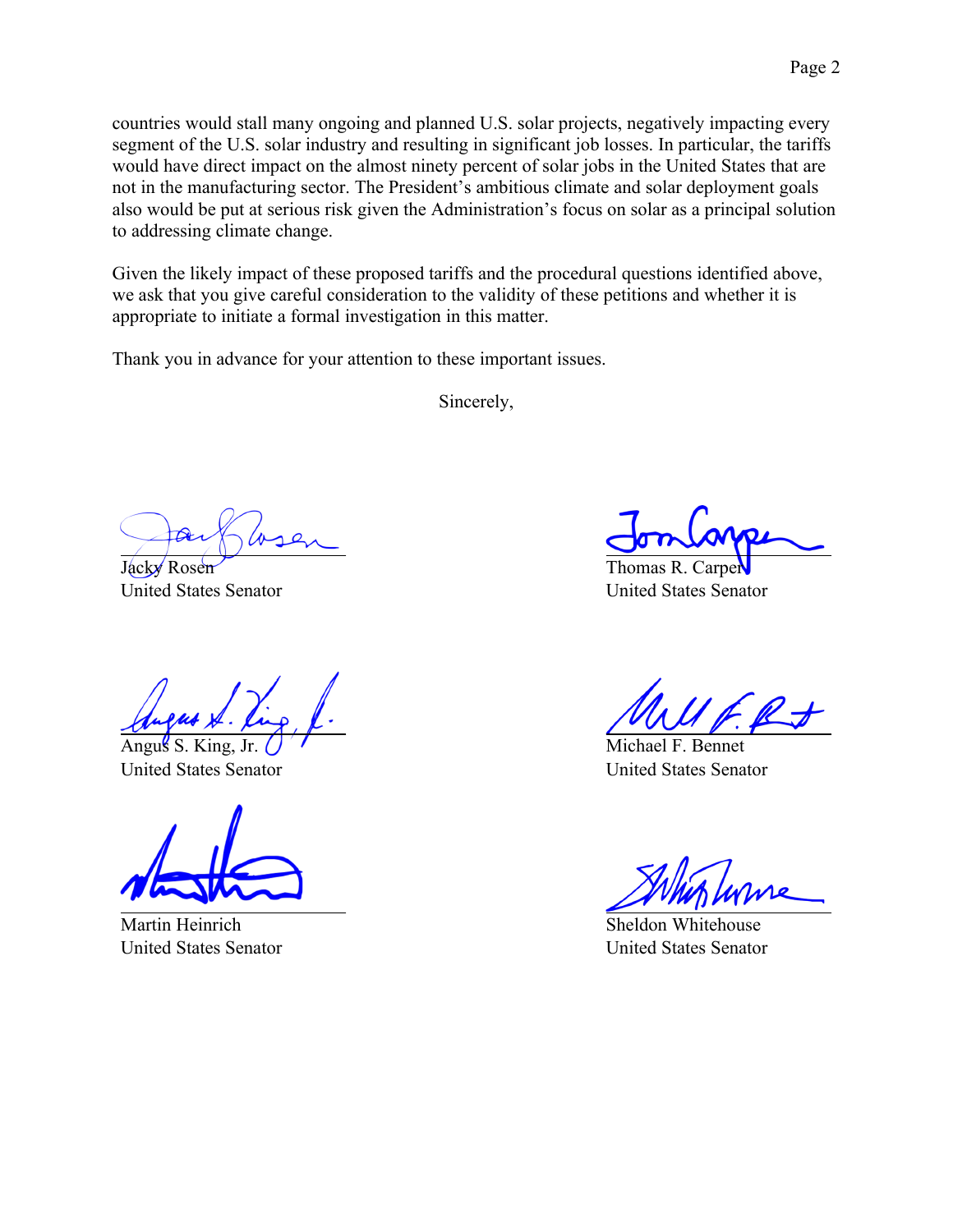countries would stall many ongoing and planned U.S. solar projects, negatively impacting every segment of the U.S. solar industry and resulting in significant job losses. In particular, the tariffs would have direct impact on the almost ninety percent of solar jobs in the United States that are not in the manufacturing sector. The President's ambitious climate and solar deployment goals also would be put at serious risk given the Administration's focus on solar as a principal solution to addressing climate change.

Given the likely impact of these proposed tariffs and the procedural questions identified above, we ask that you give careful consideration to the validity of these petitions and whether it is appropriate to initiate a formal investigation in this matter.

Thank you in advance for your attention to these important issues.

Sincerely,

Jacky Rosen United States Senator

Angus S. King, Jr. United States Senator

Martin Heinrich United States Senator

Thomas R. Carper United States Senator

Michael F. Bennet United States Senator

Sheldon Whitehouse United States Senator